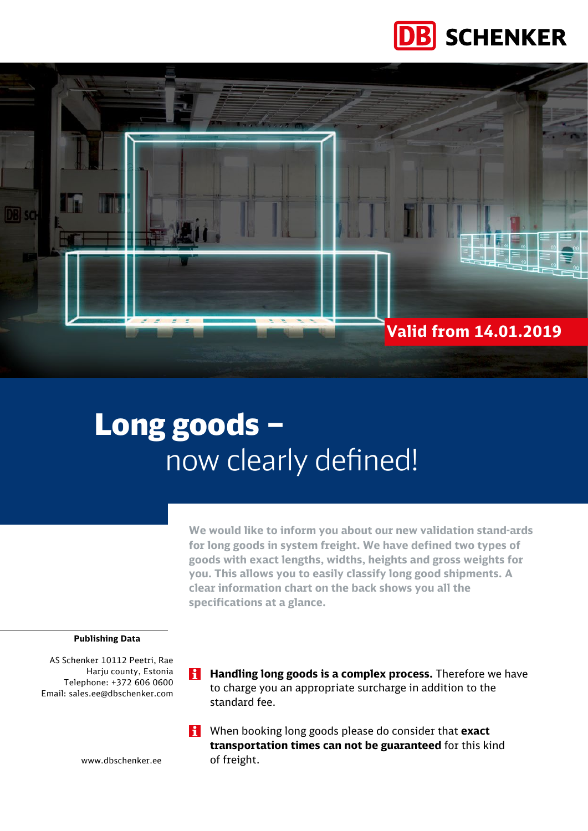



# Long goods – now clearly defined!

**We would like to inform you about our new validation stand-ards for long goods in system freight. We have defined two types of goods with exact lengths, widths, heights and gross weights for you. This allows you to easily classify long good shipments. A clear information chart on the back shows you all the specifications at a glance.**

#### **Publishing Data**

AS Schenker 10112 Peetri, Rae Harju county, Estonia Telephone: +372 606 0600 Email: sales.ee@dbschenker.com

- **H** Handling long goods is a complex process. Therefore we have to charge you an appropriate surcharge in addition to the standard fee.
- When booking long goods please do consider that **exact transportation times can not be guaranteed** for this kind of freight.